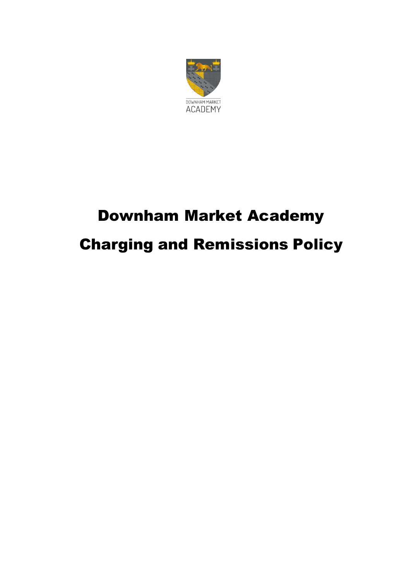

## Downham Market Academy Charging and Remissions Policy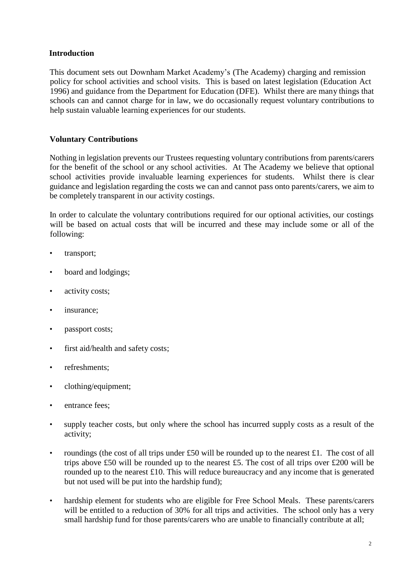## **Introduction**

This document sets out Downham Market Academy's (The Academy) charging and remission policy for school activities and school visits. This is based on latest legislation (Education Act 1996) and guidance from the Department for Education (DFE). Whilst there are many things that schools can and cannot charge for in law, we do occasionally request voluntary contributions to help sustain valuable learning experiences for our students.

## **Voluntary Contributions**

Nothing in legislation prevents our Trustees requesting voluntary contributions from parents/carers for the benefit of the school or any school activities. At The Academy we believe that optional school activities provide invaluable learning experiences for students. Whilst there is clear guidance and legislation regarding the costs we can and cannot pass onto parents/carers, we aim to be completely transparent in our activity costings.

In order to calculate the voluntary contributions required for our optional activities, our costings will be based on actual costs that will be incurred and these may include some or all of the following:

- transport;
- board and lodgings;
- activity costs;
- insurance;
- passport costs;
- first aid/health and safety costs;
- refreshments:
- clothing/equipment;
- entrance fees:
- supply teacher costs, but only where the school has incurred supply costs as a result of the activity;
- roundings (the cost of all trips under £50 will be rounded up to the nearest £1. The cost of all trips above £50 will be rounded up to the nearest £5. The cost of all trips over £200 will be rounded up to the nearest £10. This will reduce bureaucracy and any income that is generated but not used will be put into the hardship fund);
- hardship element for students who are eligible for Free School Meals. These parents/carers will be entitled to a reduction of 30% for all trips and activities. The school only has a very small hardship fund for those parents/carers who are unable to financially contribute at all;